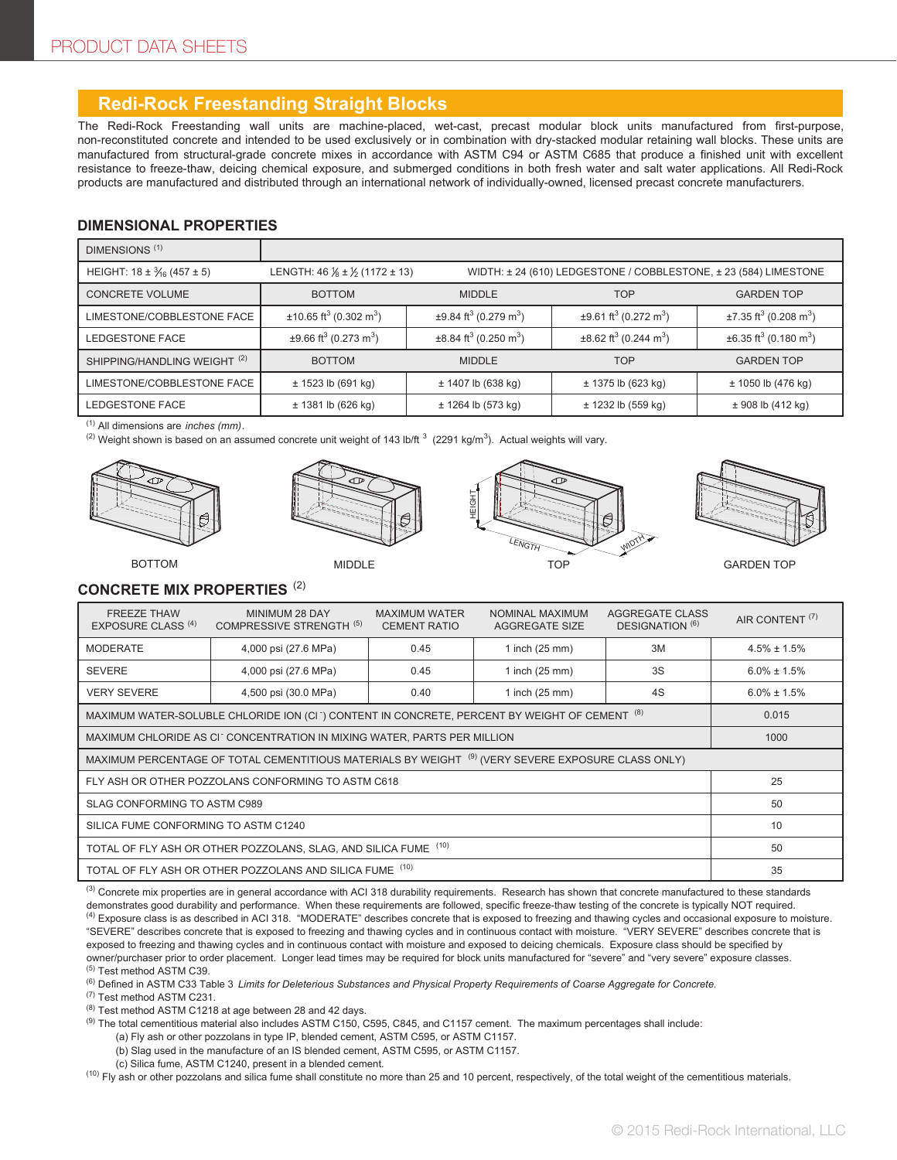# **Redi-Rock Freestanding Straight Blocks**

The Redi-Rock Freestanding wall units are machine-placed, wet-cast, precast modular block units manufactured from first-purpose, non-reconstituted concrete and intended to be used exclusively or in combination with dry-stacked modular retaining wall blocks. These units are manufactured from structural-grade concrete mixes in accordance with ASTM C94 or ASTM C685 that produce a finished unit with excellent resistance to freeze-thaw, deicing chemical exposure, and submerged conditions in both fresh water and salt water applications. All Redi-Rock products are manufactured and distributed through an international network of individually-owned, licensed precast concrete manufacturers.

#### **DIMENSIONAL PROPERTIES**

| DIMENSIONS <sup>(1)</sup>                 |                                                     |                                                                  |                                                    |                                                    |  |
|-------------------------------------------|-----------------------------------------------------|------------------------------------------------------------------|----------------------------------------------------|----------------------------------------------------|--|
| HEIGHT: $18 \pm \frac{3}{16} (457 \pm 5)$ | LENGTH: $46\frac{1}{8} \pm \frac{1}{2}$ (1172 ± 13) | WIDTH: ± 24 (610) LEDGESTONE / COBBLESTONE, ± 23 (584) LIMESTONE |                                                    |                                                    |  |
| <b>CONCRETE VOLUME</b>                    | <b>BOTTOM</b>                                       | <b>MIDDLE</b>                                                    | <b>TOP</b>                                         | <b>GARDEN TOP</b>                                  |  |
| LIMESTONE/COBBLESTONE FACE                | $\pm$ 10.65 ft <sup>3</sup> (0.302 m <sup>3</sup> ) | $\pm$ 9.84 ft <sup>3</sup> (0.279 m <sup>3</sup> )               | $\pm$ 9.61 ft <sup>3</sup> (0.272 m <sup>3</sup> ) | $\pm$ 7.35 ft <sup>3</sup> (0.208 m <sup>3</sup> ) |  |
| LEDGESTONE FACE                           | $\pm$ 9.66 ft <sup>3</sup> (0.273 m <sup>3</sup> )  | $\pm$ 8.84 ft <sup>3</sup> (0.250 m <sup>3</sup> )               | $\pm 8.62$ ft <sup>3</sup> (0.244 m <sup>3</sup> ) | $\pm 6.35$ ft <sup>3</sup> (0.180 m <sup>3</sup> ) |  |
| SHIPPING/HANDLING WEIGHT <sup>(2)</sup>   | <b>BOTTOM</b>                                       | <b>MIDDLE</b>                                                    | <b>TOP</b>                                         | <b>GARDEN TOP</b>                                  |  |
| LIMESTONE/COBBLESTONE FACE                | ± 1523 lb (691 kg)                                  | $± 1407$ lb (638 kg)                                             | ± 1375 lb (623 kg)                                 | $± 1050$ lb (476 kg)                               |  |
| LEDGESTONE FACE                           | ± 1381 lb (626 kg)                                  | ± 1264 lb (573 kg)                                               | $±$ 1232 lb (559 kg)                               | ± 908 lb (412 kg)                                  |  |

(1) All dimensions are *inches (mm)*.

<sup>(2)</sup> Weight shown is based on an assumed concrete unit weight of 143 lb/ft  $^3$  (2291 kg/m $^3$ ). Actual weights will vary.









GARDEN TOP

### **CONCRETE MIX PROPERTIES** (2)

| <b>FREEZE THAW</b><br>EXPOSURE CLASS <sup>(4)</sup>                                                           | MINIMUM 28 DAY<br>COMPRESSIVE STRENGTH <sup>(5)</sup> | <b>MAXIMUM WATER</b><br><b>CEMENT RATIO</b> | NOMINAL MAXIMUM<br>AGGREGATE SIZE | AGGREGATE CLASS<br>DESIGNATION <sup>(6)</sup> | AIR CONTENT <sup>(7)</sup> |
|---------------------------------------------------------------------------------------------------------------|-------------------------------------------------------|---------------------------------------------|-----------------------------------|-----------------------------------------------|----------------------------|
| <b>MODERATE</b>                                                                                               | 4,000 psi (27.6 MPa)                                  | 0.45                                        | 1 inch $(25 \text{ mm})$          | 3M                                            | $4.5\% \pm 1.5\%$          |
| <b>SEVERE</b>                                                                                                 | 4,000 psi (27.6 MPa)                                  | 0.45                                        | 1 inch (25 mm)                    | 3S                                            | $6.0\% \pm 1.5\%$          |
| <b>VERY SEVERE</b>                                                                                            | 4,500 psi (30.0 MPa)                                  | 0.40                                        | 1 inch $(25$ mm)                  | 4S                                            | $6.0\% \pm 1.5\%$          |
| MAXIMUM WATER-SOLUBLE CHLORIDE ION (CI ) CONTENT IN CONCRETE, PERCENT BY WEIGHT OF CEMENT (8)                 |                                                       |                                             |                                   |                                               | 0.015                      |
| MAXIMUM CHLORIDE AS CITCONCENTRATION IN MIXING WATER, PARTS PER MILLION                                       |                                                       |                                             |                                   |                                               | 1000                       |
| MAXIMUM PERCENTAGE OF TOTAL CEMENTITIOUS MATERIALS BY WEIGHT <sup>(9)</sup> (VERY SEVERE EXPOSURE CLASS ONLY) |                                                       |                                             |                                   |                                               |                            |
| FLY ASH OR OTHER POZZOLANS CONFORMING TO ASTM C618                                                            |                                                       |                                             |                                   |                                               | 25                         |
| SLAG CONFORMING TO ASTM C989                                                                                  |                                                       |                                             |                                   |                                               | 50                         |
| SILICA FUME CONFORMING TO ASTM C1240                                                                          |                                                       |                                             |                                   |                                               | 10                         |
| TOTAL OF FLY ASH OR OTHER POZZOLANS, SLAG, AND SILICA FUME (10)                                               |                                                       |                                             |                                   |                                               | 50                         |
| TOTAL OF FLY ASH OR OTHER POZZOLANS AND SILICA FUME (10)                                                      |                                                       |                                             |                                   | 35                                            |                            |

<sup>(3)</sup> Concrete mix properties are in general accordance with ACI 318 durability requirements. Research has shown that concrete manufactured to these standards demonstrates good durability and performance. When these requirements are followed, specific freeze-thaw testing of the concrete is typically NOT required.  $^{(4)}$  Exposure class is as described in ACI 318. "MODERATE" describes concrete that is exposed to freezing and thawing cycles and occasional exposure to moisture. "SEVERE" describes concrete that is exposed to freezing and thawing cycles and in continuous contact with moisture. "VERY SEVERE" describes concrete that is exposed to freezing and thawing cycles and in continuous contact with moisture and exposed to deicing chemicals. Exposure class should be specified by owner/purchaser prior to order placement. Longer lead times may be required for block units manufactured for "severe" and "very severe" exposure classes. (5) Test method ASTM C39.

(6) Defined in ASTM C33 Table 3 *Limits for Deleterious Substances and Physical Property Requirements of Coarse Aggregate for Concrete.*

(7) Test method ASTM C231.

 $(8)$  Test method ASTM C1218 at age between 28 and 42 days.

(9) The total cementitious material also includes ASTM C150, C595, C845, and C1157 cement. The maximum percentages shall include:

(a) Fly ash or other pozzolans in type IP, blended cement, ASTM C595, or ASTM C1157.

(b) Slag used in the manufacture of an IS blended cement, ASTM C595, or ASTM C1157.

(c) Silica fume, ASTM C1240, present in a blended cement.

 $^{(10)}$  Fly ash or other pozzolans and silica fume shall constitute no more than 25 and 10 percent, respectively, of the total weight of the cementitious materials.